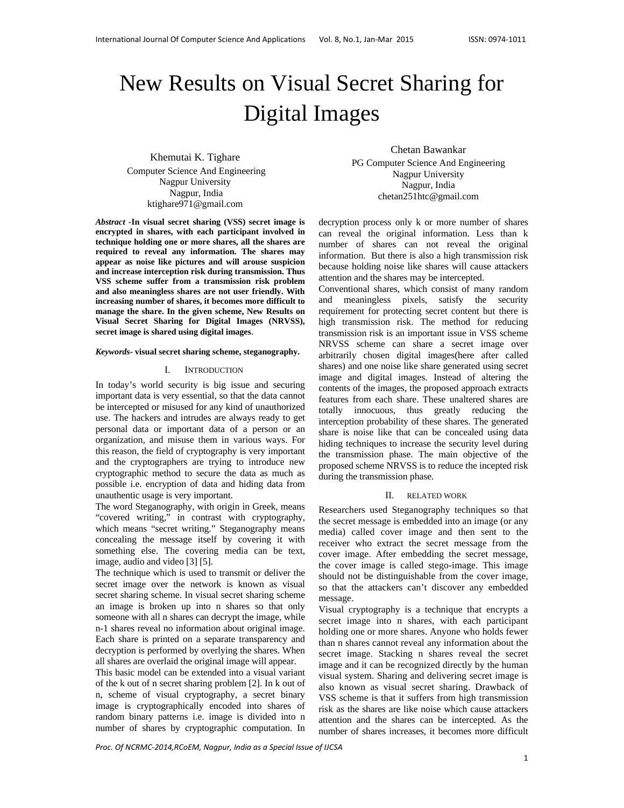# New Results on Visual Secret Sharing for Digital Images

Khemutai K. Tighare Computer Science And Engineering Nagpur University Nagpur, India ktighare971@gmail.com

*Abstract* **-In visual secret sharing (VSS) secret image is encrypted in shares, with each participant involved in technique holding one or more shares, all the shares are required to reveal any information. The shares may appear as noise like pictures and will arouse suspicion and increase interception risk during transmission. Thus VSS scheme suffer from a transmission risk problem and also meaningless shares are not user friendly. With increasing number of shares, it becomes more difficult to manage the share. In the given scheme, New Results on Visual Secret Sharing for Digital Images (NRVSS), secret image is shared using digital images**.

#### *Keywords-* **visual secret sharing scheme, steganography.**

#### I. INTRODUCTION

In today's world security is big issue and securing important data is very essential, so that the data cannot be intercepted or misused for any kind of unauthorized use. The hackers and intrudes are always ready to get personal data or important data of a person or an organization, and misuse them in various ways. For this reason, the field of cryptography is very important and the cryptographers are trying to introduce new cryptographic method to secure the data as much as possible i.e. encryption of data and hiding data from unauthentic usage is very important.

The word Steganography, with origin in Greek, means "covered writing," in contrast with cryptography, which means "secret writing." Steganography means concealing the message itself by covering it with something else. The covering media can be text, image, audio and video [3] [5].

The technique which is used to transmit or deliver the secret image over the network is known as visual secret sharing scheme. In visual secret sharing scheme an image is broken up into n shares so that only someone with all n shares can decrypt the image, while n-1 shares reveal no information about original image. Each share is printed on a separate transparency and decryption is performed by overlying the shares. When all shares are overlaid the original image will appear.

This basic model can be extended into a visual variant of the k out of n secret sharing problem [2]. In k out of n, scheme of visual cryptography, a secret binary image is cryptographically encoded into shares of random binary patterns i.e. image is divided into n number of shares by cryptographic computation. In

Chetan Bawankar PG Computer Science And Engineering Nagpur University Nagpur, India chetan251htc@gmail.com

decryption process only k or more number of shares can reveal the original information. Less than k number of shares can not reveal the original information. But there is also a high transmission risk because holding noise like shares will cause attackers attention and the shares may be intercepted.

Conventional shares, which consist of many random and meaningless pixels, satisfy the security requirement for protecting secret content but there is high transmission risk. The method for reducing transmission risk is an important issue in VSS scheme NRVSS scheme can share a secret image over arbitrarily chosen digital images(here after called shares) and one noise like share generated using secret image and digital images. Instead of altering the contents of the images, the proposed approach extracts features from each share. These unaltered shares are totally innocuous, thus greatly reducing the interception probability of these shares. The generated share is noise like that can be concealed using data hiding techniques to increase the security level during the transmission phase. The main objective of the proposed scheme NRVSS is to reduce the incepted risk during the transmission phase.

#### II. RELATED WORK

Researchers used Steganography techniques so that the secret message is embedded into an image (or any media) called cover image and then sent to the receiver who extract the secret message from the cover image. After embedding the secret message, the cover image is called stego-image. This image should not be distinguishable from the cover image, so that the attackers can't discover any embedded message.

Visual cryptography is a technique that encrypts a secret image into n shares, with each participant holding one or more shares. Anyone who holds fewer than n shares cannot reveal any information about the secret image. Stacking n shares reveal the secret image and it can be recognized directly by the human visual system. Sharing and delivering secret image is also known as visual secret sharing. Drawback of VSS scheme is that it suffers from high transmission risk as the shares are like noise which cause attackers attention and the shares can be intercepted. As the number of shares increases, it becomes more difficult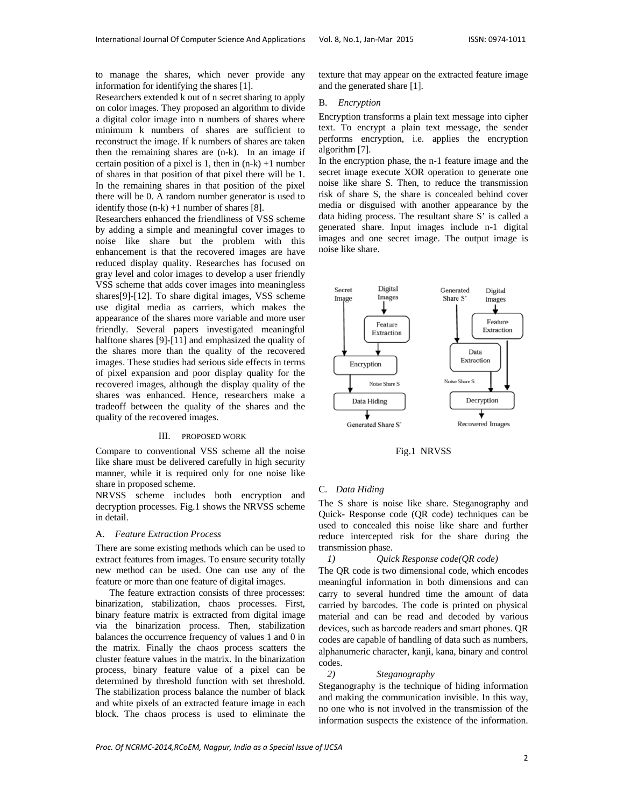to manage the shares, which never provide any information for identifying the shares [1].

Researchers extended k out of n secret sharing to apply on color images. They proposed an algorithm to divide a digital color image into n numbers of shares where minimum k numbers of shares are sufficient to reconstruct the image. If k numbers of shares are taken then the remaining shares are (n-k). In an image if certain position of a pixel is 1, then in  $(n-k) +1$  number of shares in that position of that pixel there will be 1. In the remaining shares in that position of the pixel there will be 0. A random number generator is used to identify those  $(n-k) +1$  number of shares [8].

Researchers enhanced the friendliness of VSS scheme by adding a simple and meaningful cover images to noise like share but the problem with this enhancement is that the recovered images are have reduced display quality. Researches has focused on gray level and color images to develop a user friendly VSS scheme that adds cover images into meaningless shares[9]-[12]. To share digital images, VSS scheme use digital media as carriers, which makes the appearance of the shares more variable and more user friendly. Several papers investigated meaningful halftone shares [9]-[11] and emphasized the quality of the shares more than the quality of the recovered images. These studies had serious side effects in terms of pixel expansion and poor display quality for the recovered images, although the display quality of the shares was enhanced. Hence, researchers make a tradeoff between the quality of the shares and the quality of the recovered images.

# III. PROPOSED WORK

Compare to conventional VSS scheme all the noise like share must be delivered carefully in high security manner, while it is required only for one noise like share in proposed scheme.

NRVSS scheme includes both encryption and decryption processes. Fig.1 shows the NRVSS scheme in detail.

#### A. *Feature Extraction Process*

There are some existing methods which can be used to extract features from images. To ensure security totally new method can be used. One can use any of the feature or more than one feature of digital images.

The feature extraction consists of three processes: binarization, stabilization, chaos processes. First, binary feature matrix is extracted from digital image via the binarization process. Then, stabilization balances the occurrence frequency of values 1 and 0 in the matrix. Finally the chaos process scatters the cluster feature values in the matrix. In the binarization process, binary feature value of a pixel can be determined by threshold function with set threshold. The stabilization process balance the number of black and white pixels of an extracted feature image in each block. The chaos process is used to eliminate the

texture that may appear on the extracted feature image and the generated share [1].

#### B. *Encryption*

Encryption transforms a plain text message into cipher text. To encrypt a plain text message, the sender performs encryption, i.e. applies the encryption algorithm [7].

In the encryption phase, the n-1 feature image and the secret image execute XOR operation to generate one noise like share S. Then, to reduce the transmission risk of share S, the share is concealed behind cover media or disguised with another appearance by the data hiding process. The resultant share S' is called a generated share. Input images include n-1 digital images and one secret image. The output image is noise like share.



Fig.1 NRVSS

## C. *Data Hiding*

The S share is noise like share. Steganography and Quick- Response code (QR code) techniques can be used to concealed this noise like share and further reduce intercepted risk for the share during the transmission phase.

#### *1) Quick Response code(QR code)*

The QR code is two dimensional code, which encodes meaningful information in both dimensions and can carry to several hundred time the amount of data carried by barcodes. The code is printed on physical material and can be read and decoded by various devices, such as barcode readers and smart phones. QR codes are capable of handling of data such as numbers, alphanumeric character, kanji, kana, binary and control codes.

## *2) Steganography*

Steganography is the technique of hiding information and making the communication invisible. In this way, no one who is not involved in the transmission of the information suspects the existence of the information.